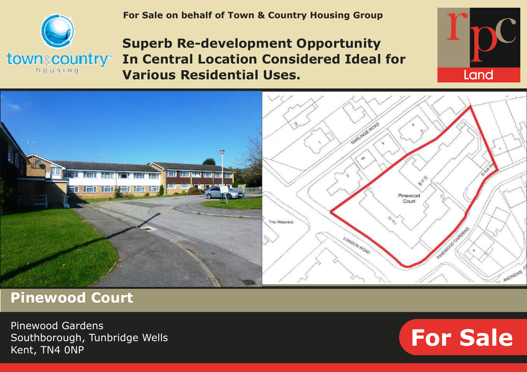

 **For Sale on behalf of Town & Country Housing Group**

# **Superb Re-development Opportunity In Central Location Considered Ideal for Various Residential Uses.**





**Pinewood Court** 

Pinewood Gardens Southborough, Tunbridge Wells Kent, TN4 0NP

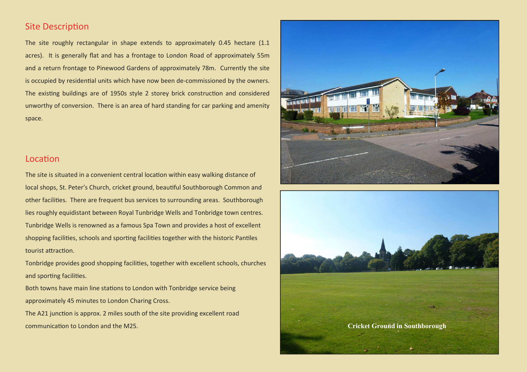#### **Site Description**

The site roughly rectangular in shape extends to approximately 0.45 hectare (1.1 acres). It is generally flat and has a frontage to London Road of approximately 55m and a return frontage to Pinewood Gardens of approximately 78m. Currently the site is occupied by residential units which have now been de-commissioned by the owners. The existing buildings are of 1950s style 2 storey brick construction and considered unworthy of conversion. There is an area of hard standing for car parking and amenity space.

#### Location

The site is situated in a convenient central location within easy walking distance of local shops, St. Peter's Church, cricket ground, beautiful Southborough Common and other facilies. There are frequent bus services to surrounding areas. Southborough lies roughly equidistant between Royal Tunbridge Wells and Tonbridge town centres. Tunbridge Wells is renowned as a famous Spa Town and provides a host of excellent shopping facilities, schools and sporting facilities together with the historic Pantiles tourist attraction.

Tonbridge provides good shopping facilies, together with excellent schools, churches and sporting facilities.

Both towns have main line stations to London with Tonbridge service being approximately 45 minutes to London Charing Cross.

The A21 junction is approx. 2 miles south of the site providing excellent road **Communication to London and the M25. Cricket Ground in Southborough <b>Cricket Ground in Southborough Cricket Ground in Southborough** 



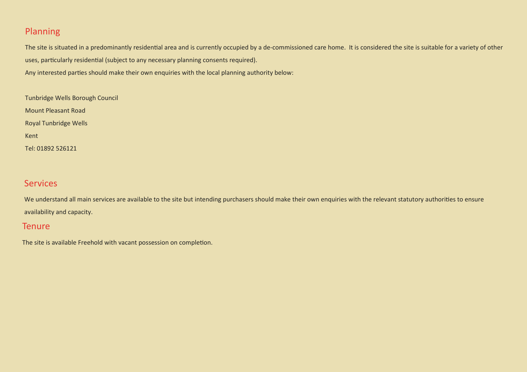# Planning

The site is situated in a predominantly residential area and is currently occupied by a de-commissioned care home. It is considered the site is suitable for a variety of other uses, particularly residential (subject to any necessary planning consents required).

Any interested parties should make their own enquiries with the local planning authority below:

Tunbridge Wells Borough Council Mount Pleasant Road Royal Tunbridge Wells Kent Tel: 01892 526121

# **Services**

We understand all main services are available to the site but intending purchasers should make their own enquiries with the relevant statutory authorities to ensure availability and capacity.

#### **Tenure**

The site is available Freehold with vacant possession on completion.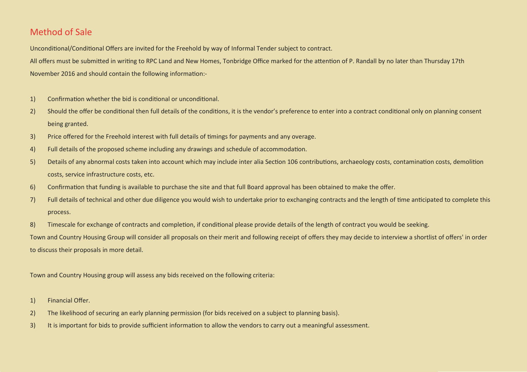# Method of Sale

Unconditional/Conditional Offers are invited for the Freehold by way of Informal Tender subject to contract.

All offers must be submitted in writing to RPC Land and New Homes, Tonbridge Office marked for the attention of P. Randall by no later than Thursday 17th November 2016 and should contain the following information:-

- 1) Confirmation whether the bid is conditional or unconditional.
- 2) Should the offer be conditional then full details of the conditions, it is the vendor's preference to enter into a contract conditional only on planning consent being granted.
- 3) Price offered for the Freehold interest with full details of timings for payments and any overage.
- 4) Full details of the proposed scheme including any drawings and schedule of accommodation.
- 5) Details of any abnormal costs taken into account which may include inter alia Section 106 contributions, archaeology costs, contamination costs, demolition costs, service infrastructure costs, etc.
- 6) Confirmation that funding is available to purchase the site and that full Board approval has been obtained to make the offer.
- 7) Full details of technical and other due diligence you would wish to undertake prior to exchanging contracts and the length of me ancipated to complete this process.
- 8) Timescale for exchange of contracts and completion, if conditional please provide details of the length of contract you would be seeking.

Town and Country Housing Group will consider all proposals on their merit and following receipt of offers they may decide to interview a shortlist of offers' in order to discuss their proposals in more detail.

Town and Country Housing group will assess any bids received on the following criteria:

- 1) Financial Offer.
- 2) The likelihood of securing an early planning permission (for bids received on a subject to planning basis).
- 3) It is important for bids to provide sufficient information to allow the vendors to carry out a meaningful assessment.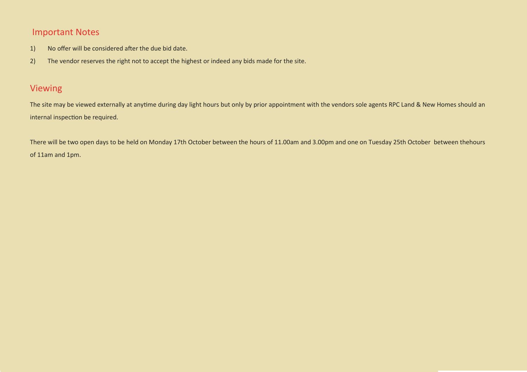# Important Notes

- 1) No offer will be considered after the due bid date.
- 2) The vendor reserves the right not to accept the highest or indeed any bids made for the site.

# Viewing

The site may be viewed externally at anytime during day light hours but only by prior appointment with the vendors sole agents RPC Land & New Homes should an internal inspection be required.

There will be two open days to be held on Monday 17th October between the hours of 11.00am and 3.00pm and one on Tuesday 25th October between thehours of 11am and 1pm.